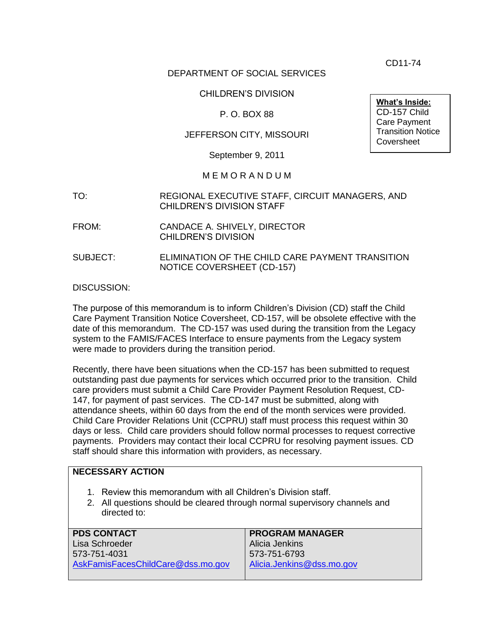CD11-74

### DEPARTMENT OF SOCIAL SERVICES

### CHILDREN'S DIVISION

### P. O. BOX 88

### JEFFERSON CITY, MISSOURI

September 9, 2011

#### M E M O R A N D U M

- TO: REGIONAL EXECUTIVE STAFF, CIRCUIT MANAGERS, AND CHILDREN'S DIVISION STAFF
- FROM: CANDACE A. SHIVELY, DIRECTOR CHILDREN'S DIVISION
- SUBJECT: ELIMINATION OF THE CHILD CARE PAYMENT TRANSITION NOTICE COVERSHEET (CD-157)

DISCUSSION:

The purpose of this memorandum is to inform Children's Division (CD) staff the Child Care Payment Transition Notice Coversheet, CD-157, will be obsolete effective with the date of this memorandum. The CD-157 was used during the transition from the Legacy system to the FAMIS/FACES Interface to ensure payments from the Legacy system were made to providers during the transition period.

Recently, there have been situations when the CD-157 has been submitted to request outstanding past due payments for services which occurred prior to the transition. Child care providers must submit a Child Care Provider Payment Resolution Request, CD-147, for payment of past services. The CD-147 must be submitted, along with attendance sheets, within 60 days from the end of the month services were provided. Child Care Provider Relations Unit (CCPRU) staff must process this request within 30 days or less. Child care providers should follow normal processes to request corrective payments. Providers may contact their local CCPRU for resolving payment issues. CD staff should share this information with providers, as necessary.

| <b>NECESSARY ACTION</b>                                                                                                                                     |                           |
|-------------------------------------------------------------------------------------------------------------------------------------------------------------|---------------------------|
| 1. Review this memorandum with all Children's Division staff.<br>2. All questions should be cleared through normal supervisory channels and<br>directed to: |                           |
| <b>PDS CONTACT</b>                                                                                                                                          | <b>PROGRAM MANAGER</b>    |
| Lisa Schroeder                                                                                                                                              | Alicia Jenkins            |
| 573-751-4031                                                                                                                                                | 573-751-6793              |
| AskFamisFacesChildCare@dss.mo.gov                                                                                                                           | Alicia.Jenkins@dss.mo.gov |
|                                                                                                                                                             |                           |

**What's Inside:** CD-157 Child Care Payment Transition Notice **Coversheet**